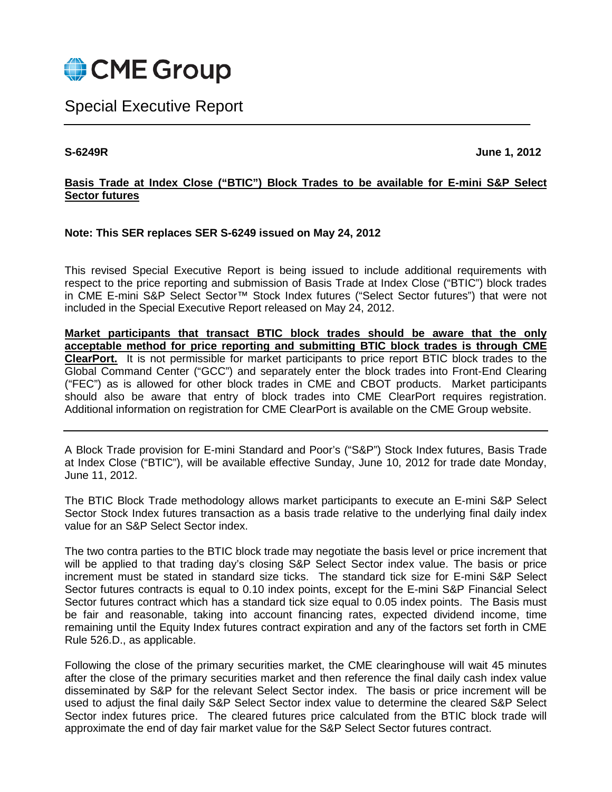

Special Executive Report

**S-6249R June 1, 2012**

# **Basis Trade at Index Close ("BTIC") Block Trades to be available for E-mini S&P Select Sector futures**

# **Note: This SER replaces SER S-6249 issued on May 24, 2012**

This revised Special Executive Report is being issued to include additional requirements with respect to the price reporting and submission of Basis Trade at Index Close ("BTIC") block trades in CME E-mini S&P Select Sector™ Stock Index futures ("Select Sector futures") that were not included in the Special Executive Report released on May 24, 2012.

**Market participants that transact BTIC block trades should be aware that the only acceptable method for price reporting and submitting BTIC block trades is through CME ClearPort.** It is not permissible for market participants to price report BTIC block trades to the Global Command Center ("GCC") and separately enter the block trades into Front-End Clearing ("FEC") as is allowed for other block trades in CME and CBOT products. Market participants should also be aware that entry of block trades into CME ClearPort requires registration. Additional information on registration for CME ClearPort is available on the CME Group website.

A Block Trade provision for E-mini Standard and Poor's ("S&P") Stock Index futures, Basis Trade at Index Close ("BTIC"), will be available effective Sunday, June 10, 2012 for trade date Monday, June 11, 2012.

The BTIC Block Trade methodology allows market participants to execute an E-mini S&P Select Sector Stock Index futures transaction as a basis trade relative to the underlying final daily index value for an S&P Select Sector index.

The two contra parties to the BTIC block trade may negotiate the basis level or price increment that will be applied to that trading day's closing S&P Select Sector index value. The basis or price increment must be stated in standard size ticks. The standard tick size for E-mini S&P Select Sector futures contracts is equal to 0.10 index points, except for the E-mini S&P Financial Select Sector futures contract which has a standard tick size equal to 0.05 index points. The Basis must be fair and reasonable, taking into account financing rates, expected dividend income, time remaining until the Equity Index futures contract expiration and any of the factors set forth in CME Rule 526.D., as applicable.

Following the close of the primary securities market, the CME clearinghouse will wait 45 minutes after the close of the primary securities market and then reference the final daily cash index value disseminated by S&P for the relevant Select Sector index. The basis or price increment will be used to adjust the final daily S&P Select Sector index value to determine the cleared S&P Select Sector index futures price. The cleared futures price calculated from the BTIC block trade will approximate the end of day fair market value for the S&P Select Sector futures contract.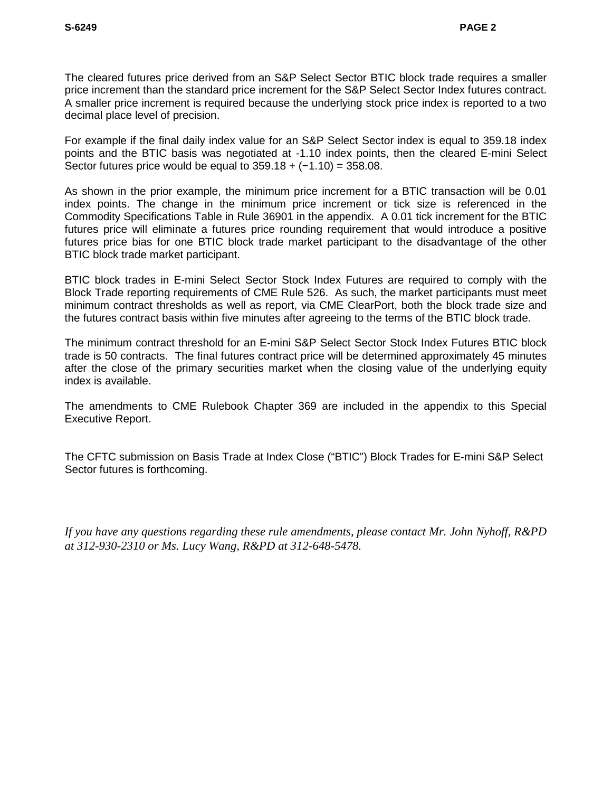The cleared futures price derived from an S&P Select Sector BTIC block trade requires a smaller price increment than the standard price increment for the S&P Select Sector Index futures contract. A smaller price increment is required because the underlying stock price index is reported to a two decimal place level of precision.

For example if the final daily index value for an S&P Select Sector index is equal to 359.18 index points and the BTIC basis was negotiated at -1.10 index points, then the cleared E-mini Select Sector futures price would be equal to  $359.18 + (-1.10) = 358.08$ .

As shown in the prior example, the minimum price increment for a BTIC transaction will be 0.01 index points. The change in the minimum price increment or tick size is referenced in the Commodity Specifications Table in Rule 36901 in the appendix. A 0.01 tick increment for the BTIC futures price will eliminate a futures price rounding requirement that would introduce a positive futures price bias for one BTIC block trade market participant to the disadvantage of the other BTIC block trade market participant.

BTIC block trades in E-mini Select Sector Stock Index Futures are required to comply with the Block Trade reporting requirements of CME Rule 526. As such, the market participants must meet minimum contract thresholds as well as report, via CME ClearPort, both the block trade size and the futures contract basis within five minutes after agreeing to the terms of the BTIC block trade.

The minimum contract threshold for an E-mini S&P Select Sector Stock Index Futures BTIC block trade is 50 contracts. The final futures contract price will be determined approximately 45 minutes after the close of the primary securities market when the closing value of the underlying equity index is available.

The amendments to CME Rulebook Chapter 369 are included in the appendix to this Special Executive Report.

The CFTC submission on Basis Trade at Index Close ("BTIC") Block Trades for E-mini S&P Select Sector futures is forthcoming.

*If you have any questions regarding these rule amendments, please contact Mr. John Nyhoff, R&PD at 312-930-2310 or Ms. Lucy Wang, R&PD at 312-648-5478.*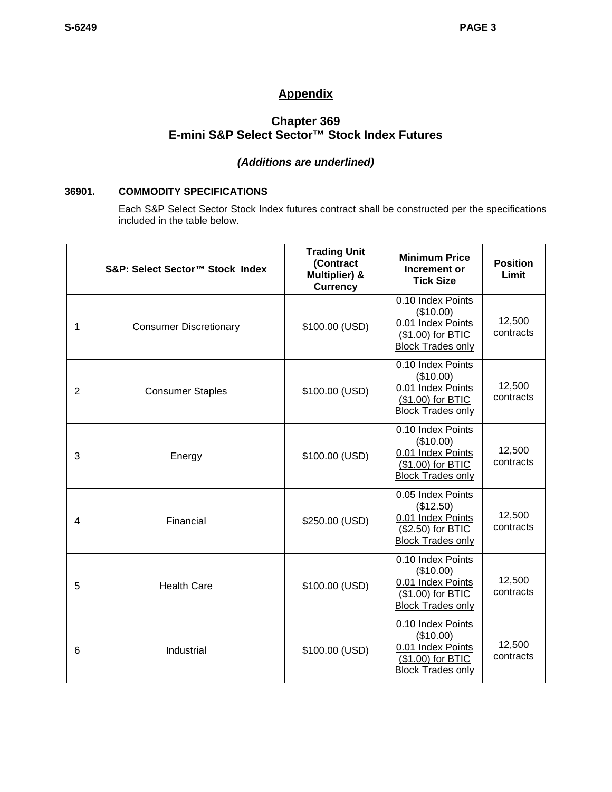# **Appendix**

# **Chapter 369 E-mini S&P Select Sector™ Stock Index Futures**

# *(Additions are underlined)*

## **36901. COMMODITY SPECIFICATIONS**

Each S&P Select Sector Stock Index futures contract shall be constructed per the specifications included in the table below.

|   | S&P: Select Sector™ Stock Index | <b>Trading Unit</b><br>(Contract<br>Multiplier) &<br><b>Currency</b> | <b>Minimum Price</b><br>Increment or<br><b>Tick Size</b>                                             | <b>Position</b><br>Limit |
|---|---------------------------------|----------------------------------------------------------------------|------------------------------------------------------------------------------------------------------|--------------------------|
| 1 | <b>Consumer Discretionary</b>   | \$100.00 (USD)                                                       | 0.10 Index Points<br>(\$10.00)<br>0.01 Index Points<br>(\$1.00) for BTIC<br><b>Block Trades only</b> | 12,500<br>contracts      |
| 2 | <b>Consumer Staples</b>         | \$100.00 (USD)                                                       | 0.10 Index Points<br>(\$10.00)<br>0.01 Index Points<br>(\$1.00) for BTIC<br><b>Block Trades only</b> | 12,500<br>contracts      |
| 3 | Energy                          | \$100.00 (USD)                                                       | 0.10 Index Points<br>(\$10.00)<br>0.01 Index Points<br>(\$1.00) for BTIC<br><b>Block Trades only</b> | 12,500<br>contracts      |
| 4 | Financial                       | \$250.00 (USD)                                                       | 0.05 Index Points<br>(\$12.50)<br>0.01 Index Points<br>(\$2.50) for BTIC<br><b>Block Trades only</b> | 12,500<br>contracts      |
| 5 | <b>Health Care</b>              | \$100.00 (USD)                                                       | 0.10 Index Points<br>(\$10.00)<br>0.01 Index Points<br>(\$1.00) for BTIC<br><b>Block Trades only</b> | 12,500<br>contracts      |
| 6 | Industrial                      | \$100.00 (USD)                                                       | 0.10 Index Points<br>(\$10.00)<br>0.01 Index Points<br>(\$1.00) for BTIC<br><b>Block Trades only</b> | 12,500<br>contracts      |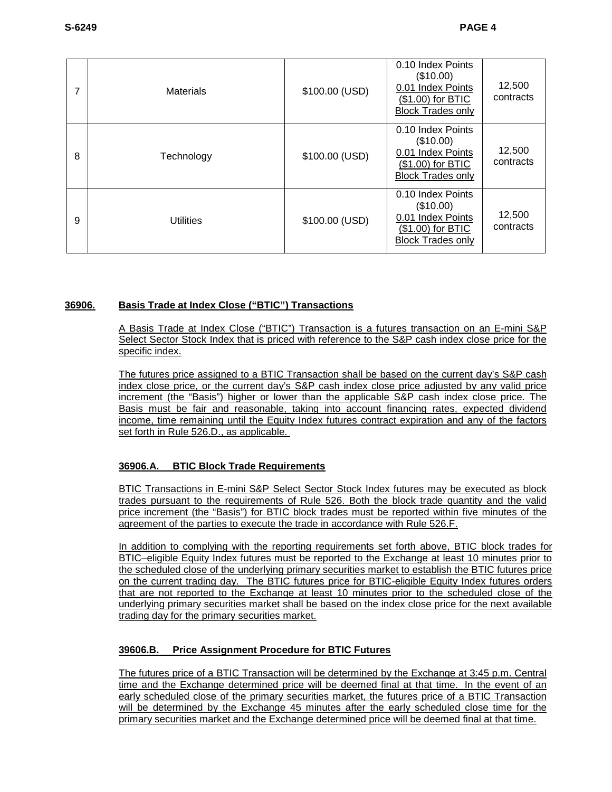| 7 | <b>Materials</b> | \$100.00 (USD) | 0.10 Index Points<br>(\$10.00)<br>0.01 Index Points<br>(\$1.00) for BTIC<br><b>Block Trades only</b> | 12,500<br>contracts |
|---|------------------|----------------|------------------------------------------------------------------------------------------------------|---------------------|
| 8 | Technology       | \$100.00 (USD) | 0.10 Index Points<br>(\$10.00)<br>0.01 Index Points<br>(\$1.00) for BTIC<br><b>Block Trades only</b> | 12,500<br>contracts |
| 9 | <b>Utilities</b> | \$100.00 (USD) | 0.10 Index Points<br>(\$10.00)<br>0.01 Index Points<br>(\$1.00) for BTIC<br><b>Block Trades only</b> | 12,500<br>contracts |

# **36906. Basis Trade at Index Close ("BTIC") Transactions**

A Basis Trade at Index Close ("BTIC") Transaction is a futures transaction on an E-mini S&P Select Sector Stock Index that is priced with reference to the S&P cash index close price for the specific index.

The futures price assigned to a BTIC Transaction shall be based on the current day's S&P cash index close price, or the current day's S&P cash index close price adjusted by any valid price increment (the "Basis") higher or lower than the applicable S&P cash index close price. The Basis must be fair and reasonable, taking into account financing rates, expected dividend income, time remaining until the Equity Index futures contract expiration and any of the factors set forth in Rule 526.D., as applicable.

# **36906.A. BTIC Block Trade Requirements**

BTIC Transactions in E-mini S&P Select Sector Stock Index futures may be executed as block trades pursuant to the requirements of Rule 526. Both the block trade quantity and the valid price increment (the "Basis") for BTIC block trades must be reported within five minutes of the agreement of the parties to execute the trade in accordance with Rule 526.F.

In addition to complying with the reporting requirements set forth above, BTIC block trades for BTIC–eligible Equity Index futures must be reported to the Exchange at least 10 minutes prior to the scheduled close of the underlying primary securities market to establish the BTIC futures price on the current trading day. The BTIC futures price for BTIC-eligible Equity Index futures orders that are not reported to the Exchange at least 10 minutes prior to the scheduled close of the underlying primary securities market shall be based on the index close price for the next available trading day for the primary securities market.

# **39606.B. Price Assignment Procedure for BTIC Futures**

The futures price of a BTIC Transaction will be determined by the Exchange at 3:45 p.m. Central time and the Exchange determined price will be deemed final at that time. In the event of an early scheduled close of the primary securities market, the futures price of a BTIC Transaction will be determined by the Exchange 45 minutes after the early scheduled close time for the primary securities market and the Exchange determined price will be deemed final at that time.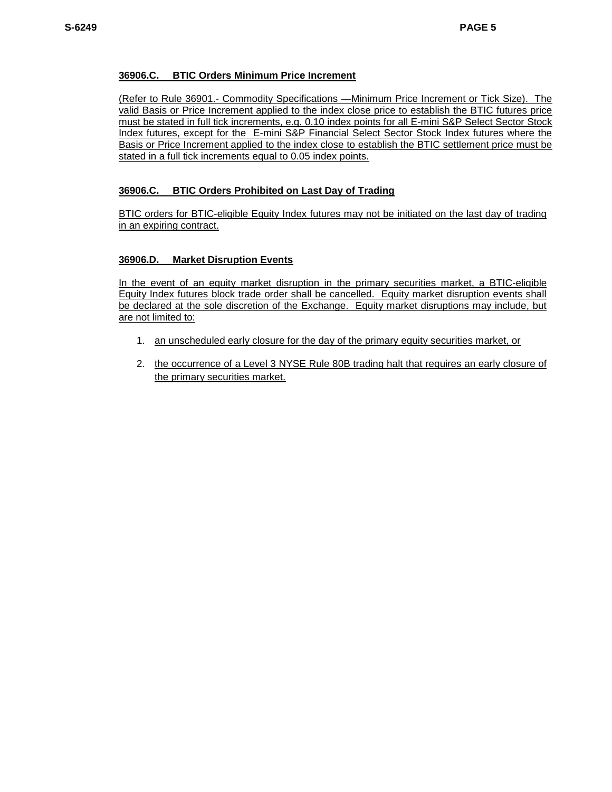## **36906.C. BTIC Orders Minimum Price Increment**

(Refer to Rule 36901.- Commodity Specifications —Minimum Price Increment or Tick Size). The valid Basis or Price Increment applied to the index close price to establish the BTIC futures price must be stated in full tick increments, e.g. 0.10 index points for all E-mini S&P Select Sector Stock Index futures, except for the E-mini S&P Financial Select Sector Stock Index futures where the Basis or Price Increment applied to the index close to establish the BTIC settlement price must be stated in a full tick increments equal to 0.05 index points.

## **36906.C. BTIC Orders Prohibited on Last Day of Trading**

BTIC orders for BTIC-eligible Equity Index futures may not be initiated on the last day of trading in an expiring contract.

#### **36906.D. Market Disruption Events**

In the event of an equity market disruption in the primary securities market, a BTIC-eligible Equity Index futures block trade order shall be cancelled. Equity market disruption events shall be declared at the sole discretion of the Exchange. Equity market disruptions may include, but are not limited to:

- 1. an unscheduled early closure for the day of the primary equity securities market, or
- 2. the occurrence of a Level 3 NYSE Rule 80B trading halt that requires an early closure of the primary securities market.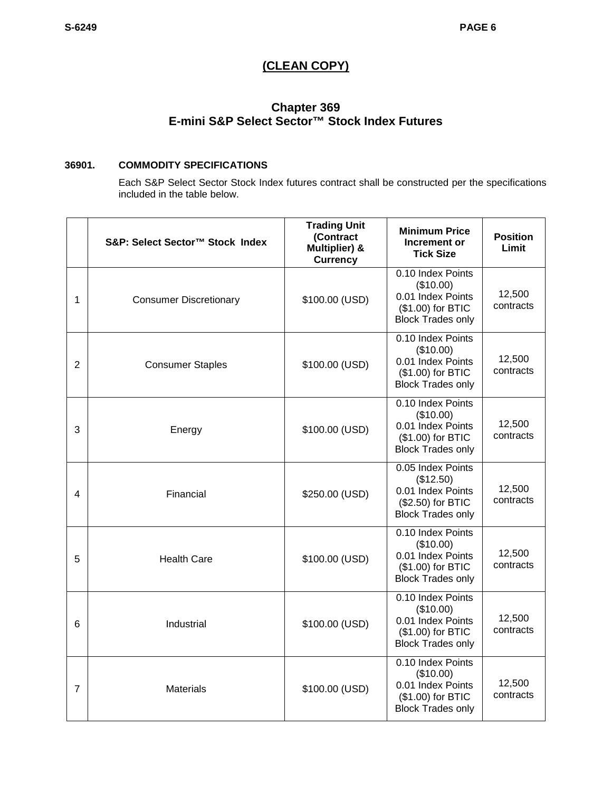# **(CLEAN COPY)**

# **Chapter 369 E-mini S&P Select Sector™ Stock Index Futures**

# **36901. COMMODITY SPECIFICATIONS**

Each S&P Select Sector Stock Index futures contract shall be constructed per the specifications included in the table below.

|   | S&P: Select Sector™ Stock Index | <b>Trading Unit</b><br>(Contract<br>Multiplier) &<br><b>Currency</b> | <b>Minimum Price</b><br>Increment or<br><b>Tick Size</b>                                             | <b>Position</b><br>Limit |
|---|---------------------------------|----------------------------------------------------------------------|------------------------------------------------------------------------------------------------------|--------------------------|
| 1 | <b>Consumer Discretionary</b>   | \$100.00 (USD)                                                       | 0.10 Index Points<br>(\$10.00)<br>0.01 Index Points<br>(\$1.00) for BTIC<br><b>Block Trades only</b> | 12,500<br>contracts      |
| 2 | <b>Consumer Staples</b>         | \$100.00 (USD)                                                       | 0.10 Index Points<br>(\$10.00)<br>0.01 Index Points<br>(\$1.00) for BTIC<br><b>Block Trades only</b> | 12,500<br>contracts      |
| 3 | Energy                          | \$100.00 (USD)                                                       | 0.10 Index Points<br>(\$10.00)<br>0.01 Index Points<br>(\$1.00) for BTIC<br><b>Block Trades only</b> | 12,500<br>contracts      |
| 4 | Financial                       | \$250.00 (USD)                                                       | 0.05 Index Points<br>(\$12.50)<br>0.01 Index Points<br>(\$2.50) for BTIC<br><b>Block Trades only</b> | 12,500<br>contracts      |
| 5 | <b>Health Care</b>              | \$100.00 (USD)                                                       | 0.10 Index Points<br>(\$10.00)<br>0.01 Index Points<br>(\$1.00) for BTIC<br><b>Block Trades only</b> | 12,500<br>contracts      |
| 6 | Industrial                      | \$100.00 (USD)                                                       | 0.10 Index Points<br>(\$10.00)<br>0.01 Index Points<br>(\$1.00) for BTIC<br><b>Block Trades only</b> | 12,500<br>contracts      |
| 7 | <b>Materials</b>                | \$100.00 (USD)                                                       | 0.10 Index Points<br>(\$10.00)<br>0.01 Index Points<br>(\$1.00) for BTIC<br><b>Block Trades only</b> | 12,500<br>contracts      |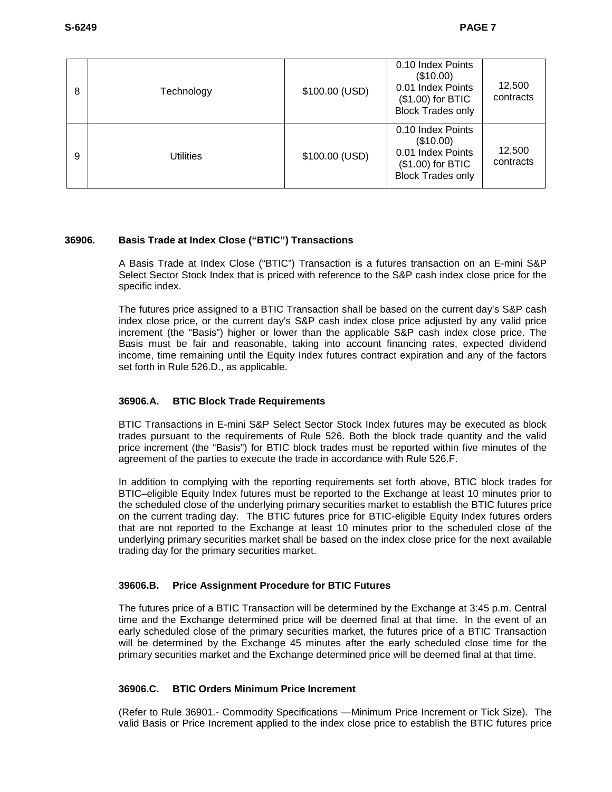| 8 | Technology | \$100.00 (USD) | 0.10 Index Points<br>(\$10.00)<br>0.01 Index Points<br>(\$1.00) for BTIC<br><b>Block Trades only</b> | 12,500<br>contracts |
|---|------------|----------------|------------------------------------------------------------------------------------------------------|---------------------|
| 9 | Utilities  | \$100.00 (USD) | 0.10 Index Points<br>(\$10.00)<br>0.01 Index Points<br>(\$1.00) for BTIC<br><b>Block Trades only</b> | 12,500<br>contracts |

# **36906. Basis Trade at Index Close ("BTIC") Transactions**

A Basis Trade at Index Close ("BTIC") Transaction is a futures transaction on an E-mini S&P Select Sector Stock Index that is priced with reference to the S&P cash index close price for the specific index.

The futures price assigned to a BTIC Transaction shall be based on the current day's S&P cash index close price, or the current day's S&P cash index close price adjusted by any valid price increment (the "Basis") higher or lower than the applicable S&P cash index close price. The Basis must be fair and reasonable, taking into account financing rates, expected dividend income, time remaining until the Equity Index futures contract expiration and any of the factors set forth in Rule 526.D., as applicable.

# **36906.A. BTIC Block Trade Requirements**

BTIC Transactions in E-mini S&P Select Sector Stock Index futures may be executed as block trades pursuant to the requirements of Rule 526. Both the block trade quantity and the valid price increment (the "Basis") for BTIC block trades must be reported within five minutes of the agreement of the parties to execute the trade in accordance with Rule 526.F.

In addition to complying with the reporting requirements set forth above, BTIC block trades for BTIC–eligible Equity Index futures must be reported to the Exchange at least 10 minutes prior to the scheduled close of the underlying primary securities market to establish the BTIC futures price on the current trading day. The BTIC futures price for BTIC-eligible Equity Index futures orders that are not reported to the Exchange at least 10 minutes prior to the scheduled close of the underlying primary securities market shall be based on the index close price for the next available trading day for the primary securities market.

# **39606.B. Price Assignment Procedure for BTIC Futures**

The futures price of a BTIC Transaction will be determined by the Exchange at 3:45 p.m. Central time and the Exchange determined price will be deemed final at that time. In the event of an early scheduled close of the primary securities market, the futures price of a BTIC Transaction will be determined by the Exchange 45 minutes after the early scheduled close time for the primary securities market and the Exchange determined price will be deemed final at that time.

#### **36906.C. BTIC Orders Minimum Price Increment**

(Refer to Rule 36901.- Commodity Specifications —Minimum Price Increment or Tick Size). The valid Basis or Price Increment applied to the index close price to establish the BTIC futures price